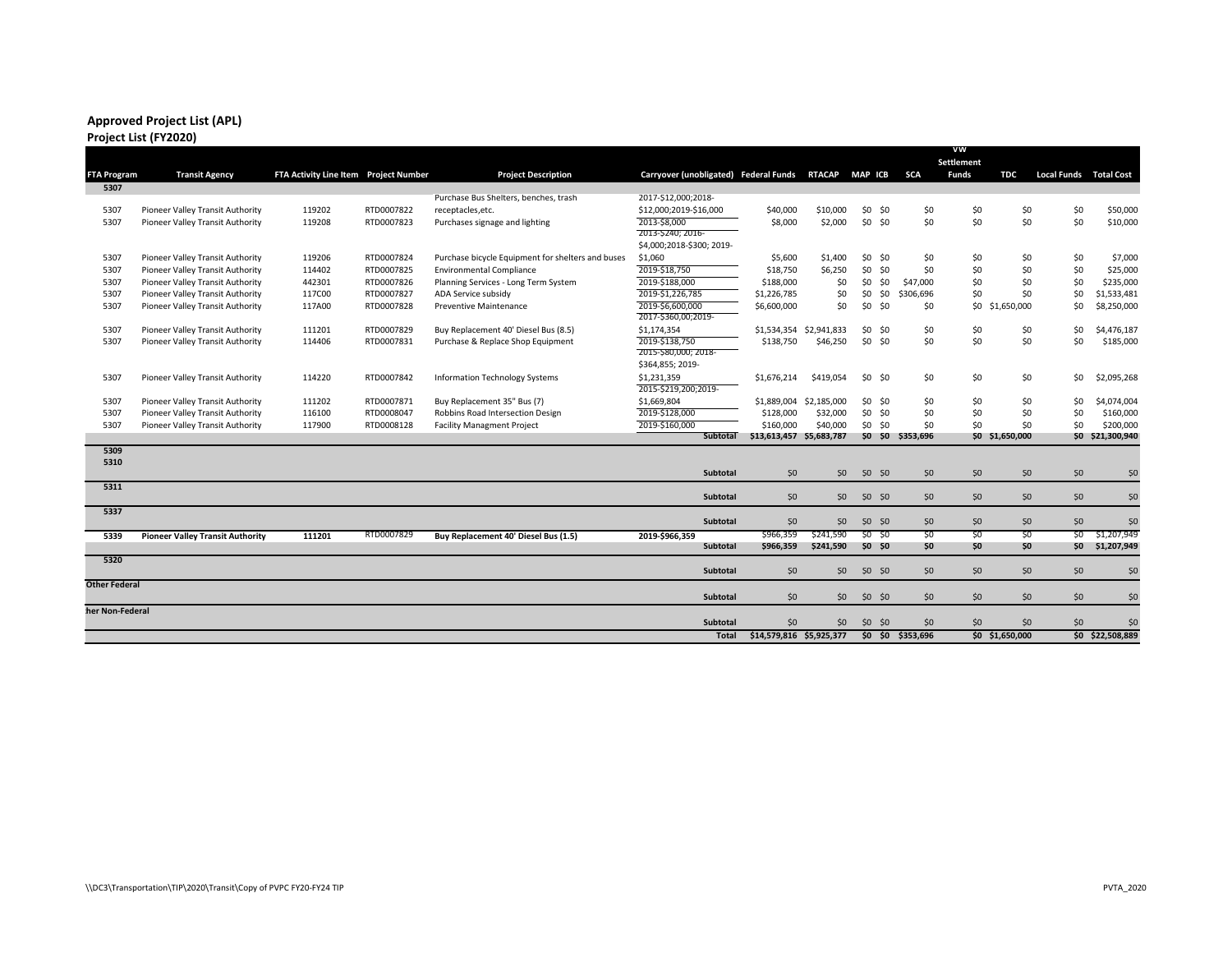# **Approved Project List (APL)**

|                      |                                         |                                       |            |                                                   |                                         |                          |                         | vw              |                   |              |                 |                               |                  |
|----------------------|-----------------------------------------|---------------------------------------|------------|---------------------------------------------------|-----------------------------------------|--------------------------|-------------------------|-----------------|-------------------|--------------|-----------------|-------------------------------|------------------|
|                      |                                         |                                       |            |                                                   |                                         |                          |                         |                 |                   | Settlement   |                 |                               |                  |
| <b>FTA Program</b>   | <b>Transit Agency</b>                   | FTA Activity Line Item Project Number |            | <b>Project Description</b>                        | Carryover (unobligated) Federal Funds   |                          | <b>RTACAP</b>           | MAP ICB         | <b>SCA</b>        | <b>Funds</b> | TDC             | <b>Local Funds Total Cost</b> |                  |
| 5307                 |                                         |                                       |            |                                                   |                                         |                          |                         |                 |                   |              |                 |                               |                  |
|                      |                                         |                                       |            | Purchase Bus Shelters, benches, trash             | 2017-\$12,000;2018-                     |                          |                         |                 |                   |              |                 |                               |                  |
| 5307                 | Pioneer Valley Transit Authority        | 119202                                | RTD0007822 | receptacles, etc.                                 | \$12,000;2019-\$16,000                  | \$40,000                 | \$10,000                | \$0 \$0         | \$0               | \$0          | \$0             | \$0                           | \$50,000         |
| 5307                 | Pioneer Valley Transit Authority        | 119208                                | RTD0007823 | Purchases signage and lighting                    | 2013-\$8,000<br>2013-\$240; 2016-       | \$8,000                  | \$2,000                 | \$0 \$0         | \$0               | \$0          | \$0             | \$0                           | \$10,000         |
|                      |                                         |                                       |            |                                                   | \$4,000;2018-\$300; 2019-               |                          |                         |                 |                   |              |                 |                               |                  |
| 5307                 | Pioneer Valley Transit Authority        | 119206                                | RTD0007824 | Purchase bicycle Equipment for shelters and buses | \$1,060                                 | \$5,600                  | \$1,400                 | \$0 \$0         | \$0               | \$0          | \$0             | \$0                           | \$7,000          |
| 5307                 | Pioneer Valley Transit Authority        | 114402                                | RTD0007825 | <b>Environmental Compliance</b>                   | 2019-\$18,750                           | \$18,750                 | \$6,250                 | \$0 \$0         | \$0               | \$0          | \$0             | \$0                           | \$25,000         |
| 5307                 | Pioneer Valley Transit Authority        | 442301                                | RTD0007826 | Planning Services - Long Term System              | 2019-\$188,000                          | \$188,000                | \$0                     | \$0             | \$0<br>\$47,000   | \$0          | \$0             | \$0                           | \$235,000        |
| 5307                 | Pioneer Valley Transit Authority        | 117C00                                | RTD0007827 | ADA Service subsidy                               | 2019-\$1,226,785                        | \$1,226,785              | \$0                     | \$0             | \$0<br>\$306,696  | \$0          | \$0             | \$0                           | \$1,533,481      |
| 5307                 | Pioneer Valley Transit Authority        | 117A00                                | RTD0007828 | <b>Preventive Maintenance</b>                     | 2019-\$6,600,000<br>2017-\$360,00;2019- | \$6,600,000              | \$0                     | $$0$ \$0        | \$0               |              | \$0 \$1,650,000 | \$0                           | \$8,250,000      |
| 5307                 | Pioneer Valley Transit Authority        | 111201                                | RTD0007829 | Buy Replacement 40' Diesel Bus (8.5)              | \$1,174,354                             |                          | \$1,534,354 \$2,941,833 | \$0 \$0         | \$0               | \$0          | \$0             | \$0                           | \$4,476,187      |
| 5307                 | Pioneer Valley Transit Authority        | 114406                                | RTD0007831 | Purchase & Replace Shop Equipment                 | 2019-\$138,750                          | \$138,750                | \$46,250                | \$0 \$0         | \$0               | \$0          | \$0             | \$0                           | \$185,000        |
|                      |                                         |                                       |            |                                                   | 2015-580,000; 2018-                     |                          |                         |                 |                   |              |                 |                               |                  |
|                      |                                         |                                       |            |                                                   | \$364,855; 2019-                        |                          |                         |                 |                   |              |                 |                               |                  |
| 5307                 | Pioneer Valley Transit Authority        | 114220                                | RTD0007842 | <b>Information Technology Systems</b>             | \$1,231,359<br>2015-\$219,200;2019-     | \$1,676,214              | \$419,054               | \$0 \$0         | \$0               | \$0          | \$0             | \$0                           | \$2,095,268      |
| 5307                 | Pioneer Valley Transit Authority        | 111202                                | RTD0007871 | Buy Replacement 35" Bus (7)                       | \$1,669,804                             | \$1,889,004              | \$2,185,000             | \$0 \$0         | \$0               | \$0          | \$0             | \$0                           | \$4,074,004      |
| 5307                 | Pioneer Valley Transit Authority        | 116100                                | RTD0008047 | Robbins Road Intersection Design                  | 2019-\$128,000                          | \$128,000                | \$32,000                | \$0 \$0         | \$0               | \$0          | \$0             | \$0                           | \$160,000        |
| 5307                 | Pioneer Valley Transit Authority        | 117900                                | RTD0008128 | <b>Facility Managment Project</b>                 | 2019-\$160,000                          | \$160,000                | \$40,000                | \$0 \$0         | \$0               | \$0          | \$0             | \$0                           | \$200,000        |
|                      |                                         |                                       |            |                                                   | Subtotal                                | \$13,613,457 \$5,683,787 |                         |                 | \$0 \$0 \$353,696 |              | \$0 \$1,650,000 |                               | \$0 \$21,300,940 |
| 5309                 |                                         |                                       |            |                                                   |                                         |                          |                         |                 |                   |              |                 |                               |                  |
| 5310                 |                                         |                                       |            |                                                   |                                         |                          |                         |                 |                   |              |                 |                               |                  |
|                      |                                         |                                       |            |                                                   | <b>Subtotal</b>                         | 50                       | 50 <sub>2</sub>         | <b>SO SO</b>    | \$0               | <b>SO</b>    | \$0             | 50                            | S <sub>0</sub>   |
| 5311                 |                                         |                                       |            |                                                   | <b>Subtotal</b>                         | 50 <sub>0</sub>          | 50 <sub>2</sub>         | <b>SO SO</b>    | \$0               | \$0          | 50              | 50                            | \$0              |
| 5337                 |                                         |                                       |            |                                                   | <b>Subtotal</b>                         | 50                       | 50                      | \$0 \$0         | 50                | 50           | \$0             | 50                            | 50               |
| 5339                 | <b>Pioneer Valley Transit Authority</b> | 111201                                | RTD0007829 | Buy Replacement 40' Diesel Bus (1.5)              | 2019-\$966,359                          | \$966,359                | S241.590                | $SO$ SO         | \$0               | SO           | S <sub>0</sub>  | SO                            | \$1,207,949      |
|                      |                                         |                                       |            |                                                   | <b>Subtotal</b>                         | \$966,359                | \$241,590               | 50, 50          | \$O               | \$0          | \$0             |                               | \$0 \$1,207,949  |
| 5320                 |                                         |                                       |            |                                                   | <b>Subtotal</b>                         | $50^{\circ}$             | 50 <sub>0</sub>         | $50^{50}$       | \$0               | \$0          | \$0             | 50                            | \$0              |
| <b>Other Federal</b> |                                         |                                       |            |                                                   |                                         |                          |                         |                 |                   |              |                 |                               |                  |
|                      |                                         |                                       |            |                                                   | <b>Subtotal</b>                         | \$0\$                    | \$0\$                   | $$0$ \$0        | \$0               | \$0          | \$0             | \$0                           | \$0              |
| her Non-Federal:     |                                         |                                       |            |                                                   | <b>Subtotal</b>                         | \$0                      | \$0                     | $$0$ $$0$       | \$0               | \$0          | \$0             | \$0                           | \$0              |
|                      |                                         |                                       |            |                                                   | Total                                   | \$14,579,816 \$5,925,377 |                         | $\overline{50}$ | \$0 \$353,696     |              | \$0 \$1,650,000 |                               | \$0 \$22,508,889 |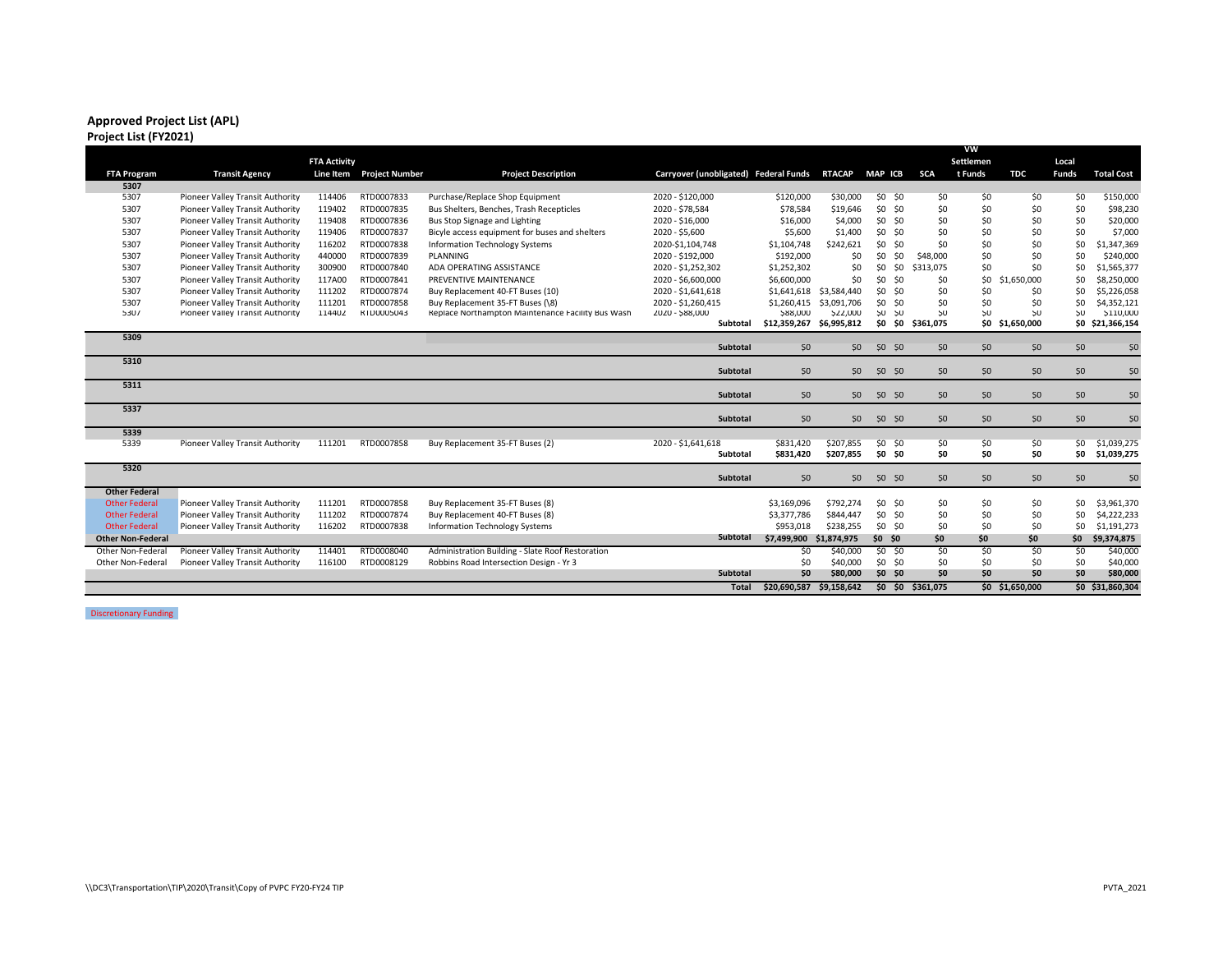## **Approved Project List (APL)**

## **Project List (FY2021)**

|                          |                                  |                     |                          |                                                   |                                       |                   |                 |                |                 | VW        |                 |                |                   |
|--------------------------|----------------------------------|---------------------|--------------------------|---------------------------------------------------|---------------------------------------|-------------------|-----------------|----------------|-----------------|-----------|-----------------|----------------|-------------------|
|                          |                                  | <b>FTA Activity</b> |                          |                                                   |                                       |                   |                 |                |                 | Settlemen |                 | Local          |                   |
| <b>FTA Program</b>       | <b>Transit Agency</b>            |                     | Line Item Project Number | <b>Project Description</b>                        | Carryover (unobligated) Federal Funds |                   | <b>RTACAP</b>   | <b>MAP ICB</b> | <b>SCA</b>      | t Funds   | <b>TDC</b>      | <b>Funds</b>   | <b>Total Cost</b> |
| 5307                     |                                  |                     |                          |                                                   |                                       |                   |                 |                |                 |           |                 |                |                   |
| 5307                     | Pioneer Valley Transit Authority | 114406              | RTD0007833               | Purchase/Replace Shop Equipment                   | 2020 - \$120,000                      | \$120,000         | \$30,000        | \$0 \$0        | \$0             | \$0       | \$0             | \$0            | \$150,000         |
| 5307                     | Pioneer Valley Transit Authority | 119402              | RTD0007835               | Bus Shelters, Benches, Trash Recepticles          | 2020 - \$78,584                       | \$78,584          | \$19,646        | \$0 \$0        | \$0             | \$0       | \$0             | \$0            | \$98,230          |
| 5307                     | Pioneer Valley Transit Authority | 119408              | RTD0007836               | Bus Stop Signage and Lighting                     | 2020 - \$16,000                       | \$16,000          | \$4,000         | \$0 \$0        | \$0             | \$0       | \$0             | \$0            | \$20,000          |
| 5307                     | Pioneer Valley Transit Authority | 119406              | RTD0007837               | Bicyle access equipment for buses and shelters    | 2020 - \$5,600                        | \$5,600           | \$1,400         | \$0 \$0        | \$0             | \$0       | \$0             | \$0            | \$7,000           |
| 5307                     | Pioneer Valley Transit Authority | 116202              | RTD0007838               | <b>Information Technology Systems</b>             | 2020-\$1,104,748                      | \$1,104,748       | \$242,621       | \$0 \$0        | \$0             | \$0       | \$0             | \$0            | \$1,347,369       |
| 5307                     | Pioneer Valley Transit Authority | 440000              | RTD0007839               | PLANNING                                          | 2020 - \$192,000                      | \$192,000         | \$0             | \$0<br>\$0     | \$48,000        | \$0       | \$0             | \$0            | \$240,000         |
| 5307                     | Pioneer Valley Transit Authority | 300900              | RTD0007840               | ADA OPERATING ASSISTANCE                          | 2020 - \$1,252,302                    | \$1,252,302       | \$0             | \$0 \$0        | \$313,075       | \$0       | \$0             | \$0            | \$1,565,377       |
| 5307                     | Pioneer Valley Transit Authority | 117A00              | RTD0007841               | PREVENTIVE MAINTENANCE                            | 2020 - \$6,600,000                    | \$6,600,000       | \$0             | \$0 \$0        | \$0             | \$0       | \$1,650,000     | \$0            | \$8,250,000       |
| 5307                     | Pioneer Valley Transit Authority | 111202              | RTD0007874               | Buy Replacement 40-FT Buses (10)                  | 2020 - \$1,641,618                    | \$1,641,618       | \$3,584,440     | \$0 \$0        | \$0             | \$0       | \$0             | \$0            | \$5,226,058       |
| 5307                     | Pioneer Valley Transit Authority | 111201              | RTD0007858               | Buy Replacement 35-FT Buses (\8)                  | 2020 - \$1,260,415                    | \$1,260,415       | \$3,091,706     | \$0 \$0        | \$0             | \$0       | \$0             | \$0            | \$4,352,121       |
| 530/                     | Ploneer Valley Transit Authority | 114402              | <b>KIDUUU5U43</b>        | Replace Northampton Maintenance Facility Bus Wash | <b>ZUZU - \$88,000</b>                | <b>&gt;88,000</b> | <b>\$22,000</b> | <b>SU SU</b>   | 50              | <b>SU</b> | <b>SU</b>       | 50             | \$110,000         |
|                          |                                  |                     |                          |                                                   | Subtotal                              | \$12,359,267      | \$6,995,812     | <b>\$0 \$0</b> | S361.075        |           | \$0 \$1,650,000 |                | \$0 \$21,366,154  |
| 5309                     |                                  |                     |                          |                                                   |                                       |                   |                 |                |                 |           |                 |                |                   |
|                          |                                  |                     |                          |                                                   | Subtotal                              | <b>SO</b>         | 50 <sub>2</sub> | <b>SO SO</b>   | 50              | 50        | \$0             | 50             | <b>Ş0</b>         |
| 5310                     |                                  |                     |                          |                                                   |                                       |                   |                 |                |                 |           |                 |                |                   |
|                          |                                  |                     |                          |                                                   | Subtotal                              | S <sub>0</sub>    | 50 <sub>2</sub> | <b>SO \$0</b>  | S <sub>0</sub>  | 50        | \$0             | S <sub>0</sub> | S <sub>0</sub>    |
| 5311                     |                                  |                     |                          |                                                   |                                       |                   |                 |                |                 |           |                 |                |                   |
|                          |                                  |                     |                          |                                                   | Subtotal                              | 50 <sub>2</sub>   | 50              | \$0 \$0        | 50              | \$0       | \$0             | \$0            | 50                |
| 5337                     |                                  |                     |                          |                                                   |                                       |                   |                 |                |                 |           |                 |                |                   |
|                          |                                  |                     |                          |                                                   | Subtotal                              | 50                | 50              | \$0 \$0        | 50              | \$0       | \$0             | \$0            | \$0               |
| 5339                     |                                  |                     |                          |                                                   |                                       |                   |                 |                |                 |           |                 |                |                   |
| 5339                     | Pioneer Valley Transit Authority | 111201              | RTD0007858               | Buy Replacement 35-FT Buses (2)                   | 2020 - \$1,641,618                    | \$831.420         | \$207,855       | \$0 \$0        | \$0             | \$0       | \$0             | \$0            | \$1,039,275       |
|                          |                                  |                     |                          |                                                   | <b>Subtotal</b>                       | \$831,420         | \$207,855       | <b>SO SO</b>   | SO.             | \$0       | SO.             |                | \$0 \$1,039,275   |
| 5320                     |                                  |                     |                          |                                                   |                                       |                   |                 |                |                 |           |                 |                |                   |
|                          |                                  |                     |                          |                                                   | Subtotal                              | S <sub>0</sub>    | 50 <sub>2</sub> | $50$ $50$      | 50              | 50        | Ş <sub>0</sub>  | 50             | \$0               |
| <b>Other Federal</b>     |                                  |                     |                          |                                                   |                                       |                   |                 |                |                 |           |                 |                |                   |
| <b>Other Federal</b>     | Pioneer Valley Transit Authority | 111201              | RTD0007858               | Buy Replacement 35-FT Buses (8)                   |                                       | \$3,169,096       | \$792,274       | \$0 \$0        | \$0             | \$0       | \$0             | \$0            | \$3,961,370       |
| <b>Other Federal</b>     | Pioneer Valley Transit Authority | 111202              | RTD0007874               | Buy Replacement 40-FT Buses (8)                   |                                       | \$3,377,786       | \$844,447       | \$0 \$0        | \$0             | \$0       | \$0             | \$0            | \$4,222,233       |
| <b>Other Federal</b>     | Pioneer Valley Transit Authority | 116202              | RTD0007838               | <b>Information Technology Systems</b>             |                                       | \$953.018         | \$238.255       | \$0 \$0        | \$0             | \$0       | \$0             | \$0            | \$1,191,273       |
| <b>Other Non-Federal</b> |                                  |                     |                          |                                                   | Subtotal                              | \$7,499,900       | \$1,874,975     | $$0$ $$0$      | \$0             | \$0       | \$0             | \$0            | \$9,374,875       |
| Other Non-Federal        | Pioneer Valley Transit Authority | 114401              | RTD0008040               | Administration Building - Slate Roof Restoration  |                                       | S0                | \$40,000        | $SO$ $SO$      | S <sub>0</sub>  | SO.       | S <sub>0</sub>  | 50             | \$40,000          |
| Other Non-Federal        | Pioneer Valley Transit Authority | 116100              | RTD0008129               | Robbins Road Intersection Design - Yr 3           |                                       | \$0               | \$40,000        | \$0 \$0        | \$0             | \$0       | \$0             | \$0            | \$40,000          |
|                          |                                  |                     |                          |                                                   | Subtotal                              | S <sub>0</sub>    | \$80,000        | $$0$ $$0$      | SO <sub>2</sub> | \$0       | \$0             | \$0            | \$80,000          |
|                          |                                  |                     |                          |                                                   | <b>Total</b>                          | \$20.690.587      | \$9.158.642     | \$0 \$0        | \$361.075       |           | \$0 \$1,650,000 |                | \$0 \$31,860,304  |
|                          |                                  |                     |                          |                                                   |                                       |                   |                 |                |                 |           |                 |                |                   |

Discretionary Funding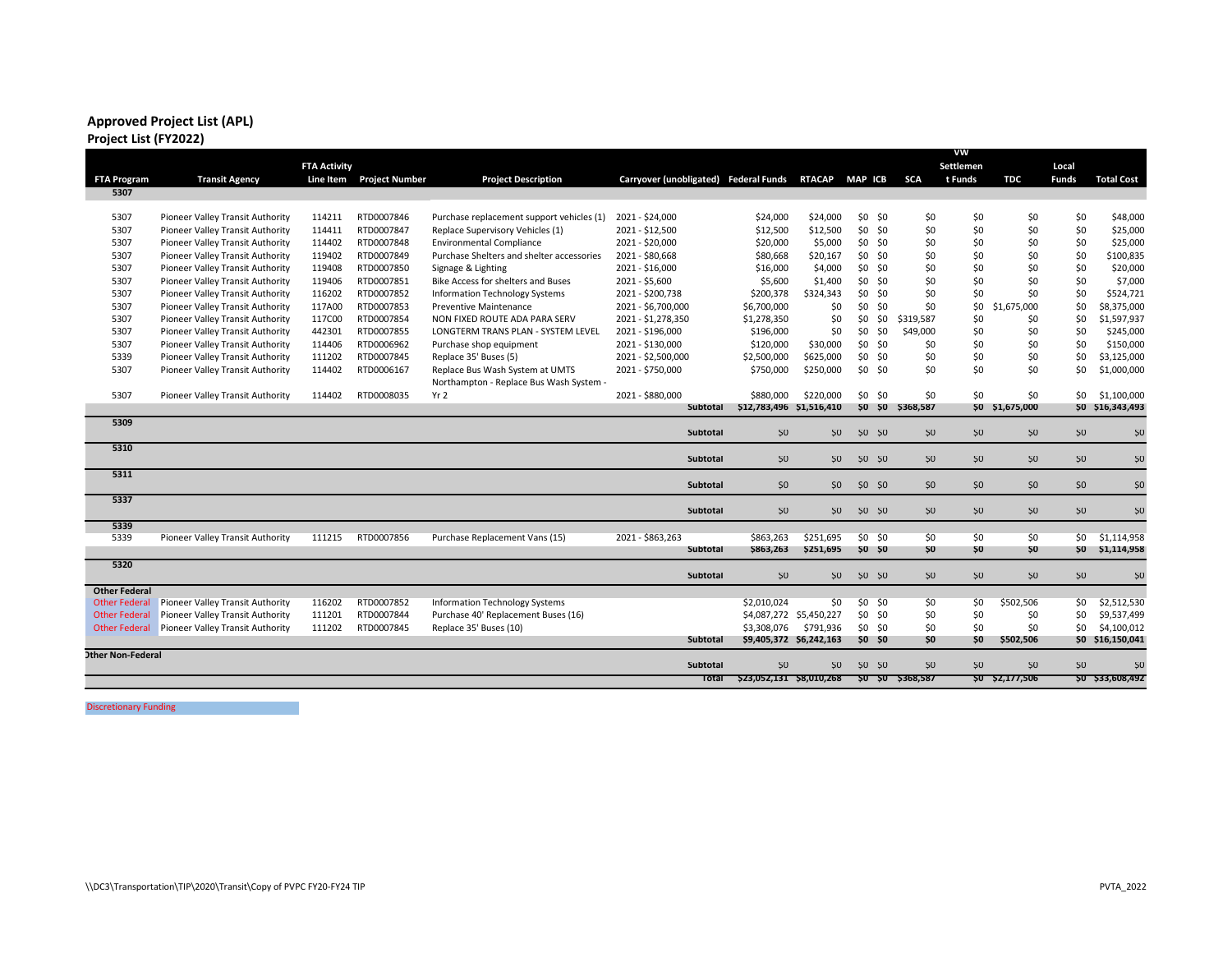## **Approved Project List (APL) Project List (FY2022)**

|                          |                                  |                     |                       |                                           |                                       |                          |                         |                |                |                   | vw              |                 |              |                   |
|--------------------------|----------------------------------|---------------------|-----------------------|-------------------------------------------|---------------------------------------|--------------------------|-------------------------|----------------|----------------|-------------------|-----------------|-----------------|--------------|-------------------|
|                          |                                  | <b>FTA Activity</b> |                       |                                           |                                       |                          |                         |                |                |                   | Settlemen       |                 | Local        |                   |
| <b>FTA Program</b>       | <b>Transit Agency</b>            | Line Item           | <b>Project Number</b> | <b>Project Description</b>                | Carryover (unobligated) Federal Funds |                          | <b>RTACAP</b>           | <b>MAP ICB</b> |                | <b>SCA</b>        | t Funds         | <b>TDC</b>      | <b>Funds</b> | <b>Total Cost</b> |
| 5307                     |                                  |                     |                       |                                           |                                       |                          |                         |                |                |                   |                 |                 |              |                   |
|                          |                                  |                     |                       |                                           |                                       |                          |                         |                |                |                   |                 |                 |              |                   |
| 5307                     | Pioneer Valley Transit Authority | 114211              | RTD0007846            | Purchase replacement support vehicles (1) | 2021 - \$24,000                       | \$24,000                 | \$24,000                |                | $$0$ $$0$      | \$0               | \$0             | \$0             | \$0          | \$48,000          |
| 5307                     | Pioneer Valley Transit Authority | 114411              | RTD0007847            | Replace Supervisory Vehicles (1)          | 2021 - \$12,500                       | \$12,500                 | \$12,500                |                | $$0$ $$0$      | \$0               | \$0             | \$0             | \$0          | \$25,000          |
| 5307                     | Pioneer Valley Transit Authority | 114402              | RTD0007848            | <b>Environmental Compliance</b>           | 2021 - \$20,000                       | \$20,000                 | \$5,000                 | \$0 \$0        |                | \$0               | \$0             | \$0             | \$0          | \$25,000          |
| 5307                     | Pioneer Valley Transit Authority | 119402              | RTD0007849            | Purchase Shelters and shelter accessories | 2021 - \$80,668                       | \$80,668                 | \$20,167                |                | $$0$ $$0$      | \$0               | \$0             | \$0             | \$0          | \$100,835         |
| 5307                     | Pioneer Valley Transit Authority | 119408              | RTD0007850            | Signage & Lighting                        | 2021 - \$16.000                       | \$16,000                 | \$4,000                 |                | $$0$ $$0$      | \$0               | \$0             | \$0             | \$0          | \$20,000          |
| 5307                     | Pioneer Valley Transit Authority | 119406              | RTD0007851            | Bike Access for shelters and Buses        | 2021 - \$5,600                        | \$5,600                  | \$1,400                 | \$0            | \$0            | \$0               | \$0             | \$0             | \$0          | \$7,000           |
| 5307                     | Pioneer Valley Transit Authority | 116202              | RTD0007852            | Information Technology Systems            | 2021 - \$200,738                      | \$200,378                | \$324,343               |                | \$0 \$0        | \$0               | \$0             | \$0             | \$0          | \$524,721         |
| 5307                     | Pioneer Valley Transit Authority | 117A00              | RTD0007853            | <b>Preventive Maintenance</b>             | 2021 - \$6,700,000                    | \$6,700,000              | \$0                     | \$0            | \$0            | \$0               | \$0             | \$1,675,000     | \$0          | \$8,375,000       |
| 5307                     | Pioneer Valley Transit Authority | 117C00              | RTD0007854            | NON FIXED ROUTE ADA PARA SERV             | 2021 - \$1,278,350                    | \$1,278,350              | \$0                     | \$0            | \$0            | \$319,587         | \$0             | \$0             | \$0          | \$1,597,937       |
| 5307                     | Pioneer Valley Transit Authority | 442301              | RTD0007855            | LONGTERM TRANS PLAN - SYSTEM LEVEL        | 2021 - \$196,000                      | \$196,000                | \$0                     | \$0            | \$0            | \$49,000          | \$0             | \$0             | \$0          | \$245,000         |
| 5307                     | Pioneer Valley Transit Authority | 114406              | RTD0006962            | Purchase shop equipment                   | 2021 - \$130,000                      | \$120,000                | \$30,000                | \$0 \$0        |                | \$0               | \$0             | \$0             | \$0          | \$150,000         |
| 5339                     | Pioneer Valley Transit Authority | 111202              | RTD0007845            | Replace 35' Buses (5)                     | 2021 - \$2,500,000                    | \$2,500,000              | \$625,000               | \$0 \$0        |                | \$0               | \$0             | \$0             | \$0          | \$3,125,000       |
| 5307                     | Pioneer Valley Transit Authority | 114402              | RTD0006167            | Replace Bus Wash System at UMTS           | 2021 - \$750,000                      | \$750,000                | \$250,000               | \$0 \$0        |                | \$0               | \$0             | \$0             | \$0          | \$1,000,000       |
|                          |                                  |                     |                       | Northampton - Replace Bus Wash System -   |                                       |                          |                         |                |                |                   |                 |                 |              |                   |
| 5307                     | Pioneer Valley Transit Authority | 114402              | RTD0008035            | Yr 2                                      | 2021 - \$880,000                      | \$880,000                | \$220,000               | \$0 \$0        |                | \$0               | \$0             | \$0             | \$0          | \$1,100,000       |
|                          |                                  |                     |                       |                                           | <b>Subtotal</b>                       | \$12,783,496 \$1,516,410 |                         |                | <b>SO SO</b>   | \$368,587         |                 | \$0 \$1,675,000 |              | \$0 \$16,343,493  |
| 5309                     |                                  |                     |                       |                                           |                                       |                          |                         |                |                |                   |                 |                 |              |                   |
|                          |                                  |                     |                       |                                           | <b>Subtotal</b>                       | 50                       | 50 <sub>2</sub>         |                | <b>SO SO</b>   | <b>SO</b>         | 50 <sub>2</sub> | <b>SO</b>       | 50           | <b>\$0</b>        |
| 5310                     |                                  |                     |                       |                                           |                                       |                          |                         |                |                |                   |                 |                 |              |                   |
|                          |                                  |                     |                       |                                           | <b>Subtotal</b>                       | 50                       | 50 <sub>2</sub>         | <b>SO SO</b>   |                | <b>SO</b>         | S <sub>0</sub>  | S <sub>0</sub>  | \$0          | \$0               |
| 5311                     |                                  |                     |                       |                                           |                                       |                          |                         |                |                |                   |                 |                 |              |                   |
|                          |                                  |                     |                       |                                           | <b>Subtotal</b>                       | 50                       | 50                      | \$0 \$0        |                | 50                | 50              | 50              | 50           | <b>Ş0</b>         |
| 5337                     |                                  |                     |                       |                                           |                                       |                          |                         |                |                |                   |                 |                 |              |                   |
|                          |                                  |                     |                       |                                           | Subtotal                              | \$0                      | 50                      | $50$ $50$      |                | <b>SO</b>         | 50 <sub>2</sub> | \$0             | 50           | \$0               |
| 5339                     |                                  |                     |                       |                                           |                                       |                          |                         |                |                |                   |                 |                 |              |                   |
| 5339                     | Pioneer Valley Transit Authority | 111215              | RTD0007856            | Purchase Replacement Vans (15)            | 2021 - \$863,263                      | \$863,263                | \$251,695               | \$0 \$0        |                | \$0               | \$0             | \$0             | \$0          | \$1,114,958       |
|                          |                                  |                     |                       |                                           | <b>Subtotal</b>                       | \$863,263                | \$251,695               | $50$ $50$      |                | \$0               | \$0             | \$0             |              | \$0 \$1,114,958   |
| 5320                     |                                  |                     |                       |                                           |                                       |                          |                         |                |                |                   |                 |                 |              |                   |
|                          |                                  |                     |                       |                                           | <b>Subtotal</b>                       | 50                       | 50 <sub>2</sub>         | $50$ $50$      |                | 50                | 50              | <b>SO</b>       | 50           | \$0               |
| <b>Other Federal</b>     |                                  |                     |                       |                                           |                                       |                          |                         |                |                |                   |                 |                 |              |                   |
| <b>Other Federal</b>     | Pioneer Valley Transit Authority | 116202              | RTD0007852            | Information Technology Systems            |                                       | \$2,010,024              | \$0                     | $$0$ $$0$      |                | \$0               | \$0             | \$502,506       | \$0          | \$2,512,530       |
| <b>Other Federal</b>     | Pioneer Valley Transit Authority | 111201              | RTD0007844            | Purchase 40' Replacement Buses (16)       |                                       |                          | \$4,087,272 \$5,450,227 |                | $$0$ \$0       | \$0               | \$0             | \$0             | \$0          | \$9,537,499       |
| <b>Other Federal</b>     | Pioneer Valley Transit Authority | 111202              | RTD0007845            | Replace 35' Buses (10)                    |                                       | \$3,308,076              | \$791,936               |                | $$0$ \$0       | \$0               | \$0             | \$0             | \$0          | \$4,100,012       |
|                          |                                  |                     |                       |                                           | <b>Subtotal</b>                       |                          | \$9,405,372 \$6,242,163 |                | <b>\$0 \$0</b> | 50                | 50              | \$502,506       |              | \$0 \$16,150,041  |
| <b>Other Non-Federal</b> |                                  |                     |                       |                                           |                                       |                          |                         |                |                |                   |                 |                 |              |                   |
|                          |                                  |                     |                       |                                           | Subtotal                              | 50                       | S <sub>0</sub>          | $50$ $50$      |                | 50                | 50              | 50              | 50           | <b>\$0</b>        |
|                          |                                  |                     |                       |                                           | Total                                 | \$23,052,131 \$8,010,268 |                         |                |                | \$0 \$0 \$368,587 |                 | \$0 \$2,177,506 |              | \$0 \$33,608,492  |
|                          |                                  |                     |                       |                                           |                                       |                          |                         |                |                |                   |                 |                 |              |                   |

Discretionary Funding<br>
Supervisory
<sub>201</sub>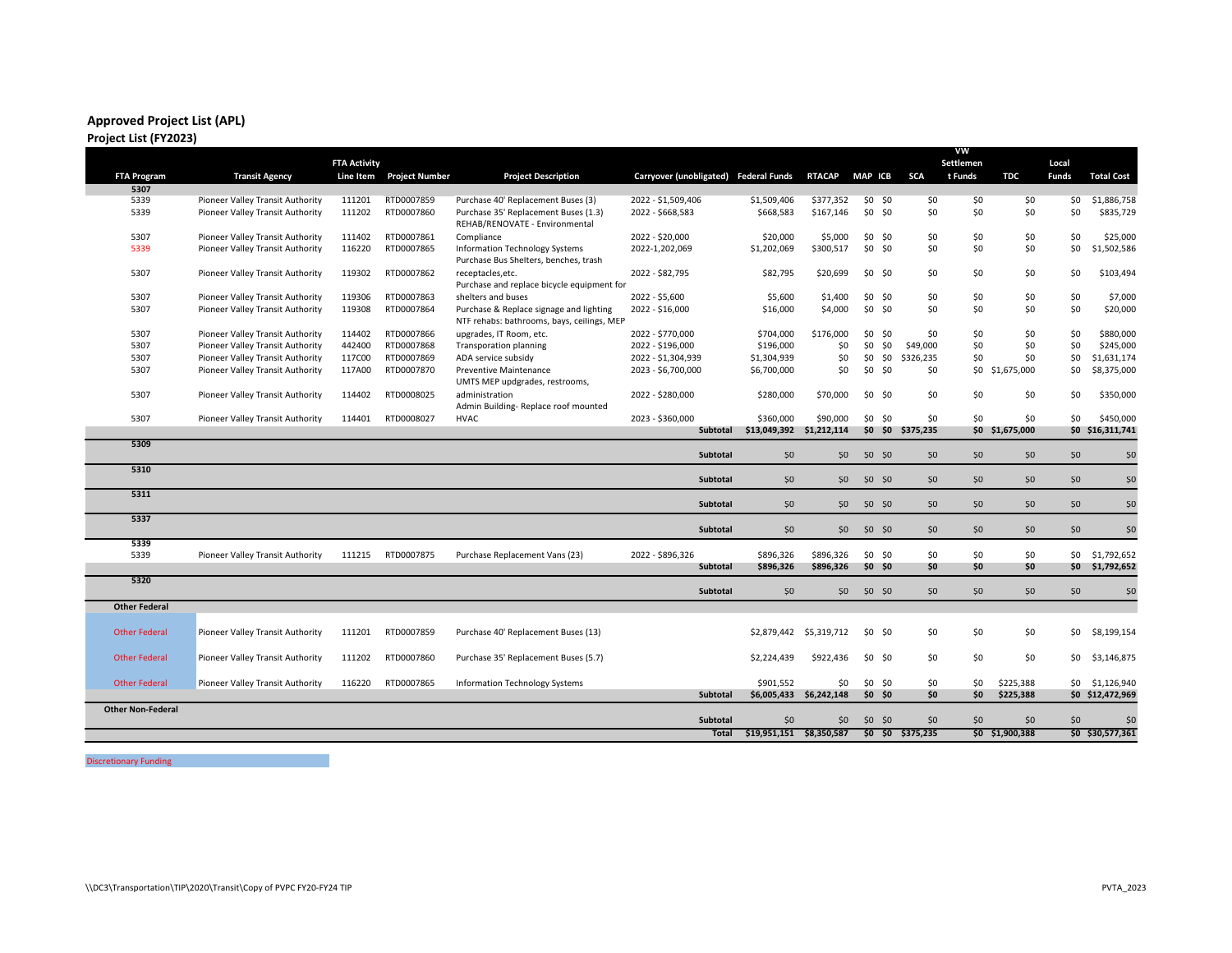#### **Approved Project List (APL) Project List (FY2023)**

|                          |                                  |                     |                       |                                                                                       |                                       |                          |                         |                |                   | VW        |                 |                 |                   |
|--------------------------|----------------------------------|---------------------|-----------------------|---------------------------------------------------------------------------------------|---------------------------------------|--------------------------|-------------------------|----------------|-------------------|-----------|-----------------|-----------------|-------------------|
|                          |                                  | <b>FTA Activity</b> |                       |                                                                                       |                                       |                          |                         |                |                   | Settlemen |                 | Local           |                   |
| <b>FTA Program</b>       | <b>Transit Agency</b>            | Line Item           | <b>Project Number</b> | <b>Project Description</b>                                                            | Carryover (unobligated) Federal Funds |                          | <b>RTACAP</b>           | <b>MAP ICB</b> | <b>SCA</b>        | t Funds   | <b>TDC</b>      | <b>Funds</b>    | <b>Total Cost</b> |
| 5307                     |                                  |                     |                       |                                                                                       |                                       |                          |                         |                |                   |           |                 |                 |                   |
| 5339                     | Pioneer Valley Transit Authority | 111201              | RTD0007859            | Purchase 40' Replacement Buses (3)                                                    | 2022 - \$1,509,406                    | \$1,509,406              | \$377,352               | \$0 \$0        | \$0               | \$0       | \$0             | \$0             | \$1,886,758       |
| 5339                     | Pioneer Valley Transit Authority | 111202              | RTD0007860            | Purchase 35' Replacement Buses (1.3)<br>REHAB/RENOVATE - Environmental                | 2022 - \$668,583                      | \$668,583                | \$167,146               | \$0 \$0        | \$0               | \$0       | \$0             | \$0             | \$835,729         |
| 5307                     | Pioneer Valley Transit Authority | 111402              | RTD0007861            | Compliance                                                                            | 2022 - \$20,000                       | \$20,000                 | \$5,000                 | \$0 \$0        | \$0               | \$0       | \$0             | \$0             | \$25,000          |
| 5339                     | Pioneer Valley Transit Authority | 116220              | RTD0007865            | Information Technology Systems<br>Purchase Bus Shelters, benches, trash               | 2022-1,202,069                        | \$1,202,069              | \$300,517               | \$0 \$0        | \$0               | \$0       | \$0             | \$0             | \$1,502,586       |
| 5307                     | Pioneer Valley Transit Authority | 119302              | RTD0007862            | receptacles, etc.<br>Purchase and replace bicycle equipment for                       | 2022 - \$82,795                       | \$82,795                 | \$20,699                | \$0 \$0        | \$0               | \$0       | \$0             | \$0             | \$103,494         |
| 5307                     | Pioneer Valley Transit Authority | 119306              | RTD0007863            | shelters and buses                                                                    | 2022 - \$5.600                        | \$5,600                  | \$1,400                 | \$0 \$0        | \$0               | \$0       | \$0             | \$0             | \$7,000           |
| 5307                     | Pioneer Valley Transit Authority | 119308              | RTD0007864            | Purchase & Replace signage and lighting<br>NTF rehabs: bathrooms, bays, ceilings, MEP | 2022 - \$16,000                       | \$16,000                 | \$4,000                 | \$0 \$0        | \$0               | \$0       | \$0             | \$0             | \$20,000          |
| 5307                     | Pioneer Valley Transit Authority | 114402              | RTD0007866            | upgrades, IT Room, etc.                                                               | 2022 - \$770,000                      | \$704,000                | \$176,000               | \$0 \$0        | \$0               | \$0       | \$0             | \$0             | \$880,000         |
| 5307                     | Pioneer Valley Transit Authority | 442400              | RTD0007868            | <b>Transporation planning</b>                                                         | 2022 - \$196,000                      | \$196,000                | \$0                     | $$0$ $$0$      | \$49,000          | \$0       | \$0             | \$0             | \$245,000         |
| 5307                     | Pioneer Valley Transit Authority | 117C00              | RTD0007869            | ADA service subsidy                                                                   | 2022 - \$1,304,939                    | \$1,304,939              | \$0                     | $$0$ $$0$      | \$326,235         | \$0       | \$0             | \$0             | \$1,631,174       |
| 5307                     | Pioneer Valley Transit Authority | 117A00              | RTD0007870            | Preventive Maintenance<br>UMTS MEP updgrades, restrooms,                              | 2023 - \$6,700,000                    | \$6,700,000              | \$0                     | \$0 \$0        | \$0               | \$0       | \$1,675,000     | \$0             | \$8,375,000       |
| 5307                     | Pioneer Valley Transit Authority | 114402              | RTD0008025            | administration<br>Admin Building-Replace roof mounted                                 | 2022 - \$280,000                      | \$280,000                | \$70,000                | \$0 \$0        | \$0               | \$0       | \$0             | \$0             | \$350,000         |
| 5307                     | Pioneer Valley Transit Authority | 114401              | RTD0008027            | <b>HVAC</b>                                                                           | 2023 - \$360,000                      | \$360,000                | \$90,000                | \$0 \$0        | \$0               | \$0       | \$0             | \$0             | \$450,000         |
|                          |                                  |                     |                       |                                                                                       | <b>Subtotal</b>                       | \$13,049,392 \$1,212,114 |                         |                | \$0 \$0 \$375,235 |           | \$0 \$1,675,000 |                 | \$0 \$16,311,741  |
| 5309                     |                                  |                     |                       |                                                                                       | <b>Subtotal</b>                       | 50                       | $50^{\circ}$            | \$0 \$0        | 50                | 50        | 50              | 50              | \$0               |
| 5310                     |                                  |                     |                       |                                                                                       | <b>Subtotal</b>                       | 50                       | 50                      | \$0, \$0       | 50                | 50        | 50              | 50              | \$0               |
| 5311                     |                                  |                     |                       |                                                                                       | <b>Subtotal</b>                       | \$0                      | $50^{\circ}$            | \$0 \$0        | \$0               | \$0       | \$0             | 50              | \$0               |
| 5337                     |                                  |                     |                       |                                                                                       | <b>Subtotal</b>                       | 50                       | 50                      | \$0 \$0        | 50                | 50        | 50              | 50              | 50                |
| 5339                     |                                  |                     |                       |                                                                                       |                                       |                          |                         |                |                   |           |                 |                 |                   |
| 5339                     | Pioneer Valley Transit Authority | 111215              | RTD0007875            | Purchase Replacement Vans (23)                                                        | 2022 - \$896,326                      | \$896,326                | \$896.326               | \$0 \$0        | \$0               | \$0       | \$0             | SO.             | \$1,792,652       |
|                          |                                  |                     |                       |                                                                                       | Subtotal                              | \$896,326                | \$896,326               | \$0 \$0        | \$0               | \$0       | SO              |                 | \$0 \$1,792,652   |
| 5320                     |                                  |                     |                       |                                                                                       | <b>Subtotal</b>                       | 50                       | 50 <sup>°</sup>         | \$0 \$0        | 50                | 50        | 50              | 50              | \$0               |
| <b>Other Federal</b>     |                                  |                     |                       |                                                                                       |                                       |                          |                         |                |                   |           |                 |                 |                   |
|                          |                                  |                     |                       |                                                                                       |                                       |                          |                         |                |                   |           |                 |                 |                   |
| <b>Other Federal</b>     | Pioneer Valley Transit Authority | 111201              | RTD0007859            | Purchase 40' Replacement Buses (13)                                                   |                                       |                          | \$2,879,442 \$5,319,712 | \$0 \$0        | \$0               | \$0       | \$0             | 50 <sub>2</sub> | \$8,199,154       |
| <b>Other Federal</b>     | Pioneer Valley Transit Authority | 111202              | RTD0007860            | Purchase 35' Replacement Buses (5.7)                                                  |                                       | \$2,224,439              | \$922,436               | \$0 \$0        | \$0               | \$0       | \$0             | \$0             | \$3,146,875       |
| <b>Other Federal</b>     | Pioneer Valley Transit Authority | 116220              | RTD0007865            | <b>Information Technology Systems</b>                                                 |                                       | \$901,552                | \$0                     | $$0$ \$0       | \$0               | \$0       | \$225,388       | \$0             | \$1,126,940       |
|                          |                                  |                     |                       |                                                                                       | <b>Subtotal</b>                       |                          | \$6,005,433 \$6,242,148 | $$0$ $$0$      | \$0               | \$0       | \$225,388       |                 | \$0 \$12,472,969  |
| <b>Other Non-Federal</b> |                                  |                     |                       |                                                                                       |                                       |                          |                         |                |                   |           |                 |                 |                   |
|                          |                                  |                     |                       |                                                                                       | <b>Subtotal</b>                       | \$0                      | \$0                     | \$0 \$0        | \$0               | \$0       | \$0             | \$0             | \$0               |
|                          |                                  |                     |                       |                                                                                       | Total                                 | \$19.951.151 \$8.350.587 |                         |                | \$0 \$0 \$375.235 |           | \$0 \$1,900.388 |                 | \$0 \$30,577,361  |

Discretionary Funding